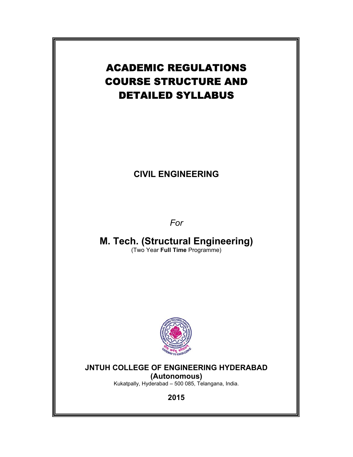

# **CIVIL ENGINEERING**

*For* 

**M. Tech. (Structural Engineering)**  (Two Year **Full Time** Programme)



# **JNTUH COLLEGE OF ENGINEERING HYDERABAD**

**(Autonomous)**

Kukatpally, Hyderabad – 500 085, Telangana, India.

**2015**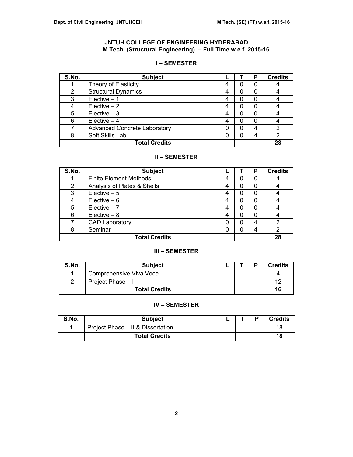# **JNTUH COLLEGE OF ENGINEERING HYDERABAD M.Tech. (Structural Engineering) – Full Time w.e.f. 2015-16**

# **I – SEMESTER**

| S.No. | <b>Subject</b>                      |   |   | Р | <b>Credits</b> |
|-------|-------------------------------------|---|---|---|----------------|
|       | Theory of Elasticity                | 4 | 0 | 0 |                |
| 2     | <b>Structural Dynamics</b>          | 4 | 0 | 0 |                |
| 3     | Elective $-1$                       | 4 | 0 | 0 |                |
|       | $Elective - 2$                      | 4 | 0 | O |                |
| 5     | $Electric - 3$                      | 4 | 0 | 0 |                |
| 6     | Elective $-4$                       | 4 | 0 | 0 |                |
|       | <b>Advanced Concrete Laboratory</b> | 0 | 0 | 4 | 2              |
| 8     | Soft Skills Lab                     | 0 | 0 | 4 | າ              |
|       | <b>Total Credits</b>                |   |   |   | 28             |

## **II – SEMESTER**

| S.No.          | <b>Subject</b>                |   |   | P | <b>Credits</b> |
|----------------|-------------------------------|---|---|---|----------------|
|                | <b>Finite Element Methods</b> | 4 | 0 | 0 |                |
| $\overline{2}$ | Analysis of Plates & Shells   | 4 | 0 | 0 |                |
| 3              | Elective $-5$                 | 4 | 0 | 0 |                |
| 4              | Elective $-6$                 | 4 | 0 | 0 |                |
| 5              | $Electric - 7$                | 4 | 0 | 0 |                |
| 6              | Elective $-8$                 | 4 | 0 | 0 |                |
|                | <b>CAD Laboratory</b>         | 0 | 0 | 4 | 2              |
| 8              | Seminar                       | 0 | 0 | 4 | 2              |
|                | <b>Total Credits</b>          |   |   |   | 28             |

## **III – SEMESTER**

| S.No. | <b>Subject</b>          |  | <b>Credits</b> |
|-------|-------------------------|--|----------------|
|       | Comprehensive Viva Voce |  |                |
|       | Project Phase - I       |  |                |
|       | <b>Total Credits</b>    |  | 16             |

# **IV – SEMESTER**

| S.No. | <b>Subject</b>                    | _ | в | <b>Credits</b> |
|-------|-----------------------------------|---|---|----------------|
|       | Project Phase – II & Dissertation |   |   | 18             |
|       | Total Credits                     |   |   | 18             |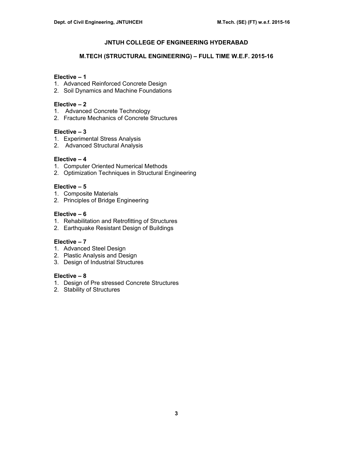#### **M.TECH (STRUCTURAL ENGINEERING) – FULL TIME W.E.F. 2015-16**

## **Elective – 1**

- 1. Advanced Reinforced Concrete Design
- 2. Soil Dynamics and Machine Foundations

## **Elective – 2**

- 1. Advanced Concrete Technology
- 2. Fracture Mechanics of Concrete Structures

## **Elective – 3**

- 1. Experimental Stress Analysis
- 2. Advanced Structural Analysis

## **Elective – 4**

- 1. Computer Oriented Numerical Methods
- 2. Optimization Techniques in Structural Engineering

## **Elective – 5**

- 1. Composite Materials
- 2. Principles of Bridge Engineering

## **Elective – 6**

- 1. Rehabilitation and Retrofitting of Structures
- 2. Earthquake Resistant Design of Buildings

## **Elective – 7**

- 1. Advanced Steel Design
- 2. Plastic Analysis and Design
- 3. Design of Industrial Structures

## **Elective – 8**

- 1. Design of Pre stressed Concrete Structures
- 2. Stability of Structures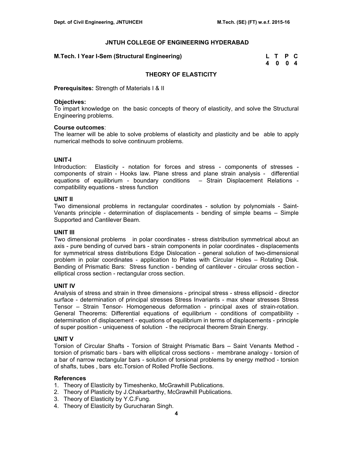## **M.Tech. I Year I-Sem (Structural Engineering)**

| M.Tech. I Year I-Sem (Structural Engineering) | L T P C |  |
|-----------------------------------------------|---------|--|
|                                               | 4004    |  |

## **THEORY OF ELASTICITY**

**Prerequisites:** Strength of Materials I & II

#### **Objectives:**

To impart knowledge on the basic concepts of theory of elasticity, and solve the Structural Engineering problems.

#### **Course outcomes**:

The learner will be able to solve problems of elasticity and plasticity and be able to apply numerical methods to solve continuum problems.

## **UNIT-I**

Introduction: Elasticity - notation for forces and stress - components of stresses components of strain - Hooks law. Plane stress and plane strain analysis - differential equations of equilibrium - boundary conditions – Strain Displacement Relations compatibility equations - stress function

#### **UNIT II**

Two dimensional problems in rectangular coordinates - solution by polynomials - Saint-Venants principle - determination of displacements - bending of simple beams – Simple Supported and Cantilever Beam.

## **UNIT III**

Two dimensional problems in polar coordinates - stress distribution symmetrical about an axis - pure bending of curved bars - strain components in polar coordinates - displacements for symmetrical stress distributions Edge Dislocation - general solution of two-dimensional problem in polar coordinates - application to Plates with Circular Holes – Rotating Disk. Bending of Prismatic Bars: Stress function - bending of cantilever - circular cross section elliptical cross section - rectangular cross section.

## **UNIT IV**

Analysis of stress and strain in three dimensions - principal stress - stress ellipsoid - director surface - determination of principal stresses Stress Invariants - max shear stresses Stress Tensor – Strain Tensor- Homogeneous deformation - principal axes of strain-rotation. General Theorems: Differential equations of equilibrium - conditions of compatibility determination of displacement - equations of equilibrium in terms of displacements - principle of super position - uniqueness of solution - the reciprocal theorem Strain Energy.

## **UNIT V**

Torsion of Circular Shafts - Torsion of Straight Prismatic Bars – Saint Venants Method torsion of prismatic bars - bars with elliptical cross sections - membrane analogy - torsion of a bar of narrow rectangular bars - solution of torsional problems by energy method - torsion of shafts, tubes , bars etc.Torsion of Rolled Profile Sections.

- 1. Theory of Elasticity by Timeshenko, McGrawhill Publications.
- 2. Theory of Plasticity by J.Chakarbarthy, McGrawhill Publications.
- 3. Theory of Elasticity by Y.C.Fung.
- 4. Theory of Elasticity by Gurucharan Singh.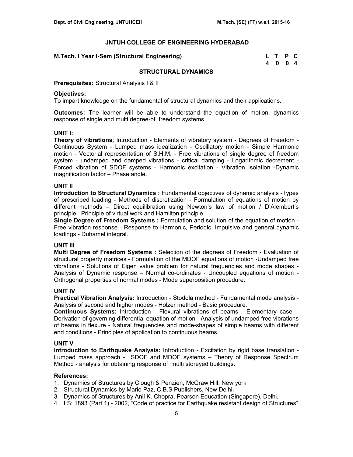#### **M.Tech. I Year I-Sem (Structural Engineering)**

| M.Tech. I Year I-Sem (Structural Engineering) | L T P C |  |
|-----------------------------------------------|---------|--|
|                                               | 4004    |  |

#### **STRUCTURAL DYNAMICS**

**Prerequisites:** Structural Analysis I & II

#### **Objectives:**

To impart knowledge on the fundamental of structural dynamics and their applications.

**Outcomes:** The learner will be able to understand the equation of motion, dynamics response of single and multi degree-of freedom systems.

#### **UNIT I:**

**Theory of vibrations**: Introduction - Elements of vibratory system - Degrees of Freedom - Continuous System - Lumped mass idealization - Oscillatory motion - Simple Harmonic motion - Vectorial representation of S.H.M. - Free vibrations of single degree of freedom system - undamped and damped vibrations - critical damping - Logarithmic decrement - Forced vibration of SDOF systems - Harmonic excitation - Vibration Isolation -Dynamic magnification factor – Phase angle.

#### **UNIT II**

**Introduction to Structural Dynamics :** Fundamental objectives of dynamic analysis -Types of prescribed loading - Methods of discretization - Formulation of equations of motion by different methods – Direct equilibration using Newton's law of motion / D'Alembert's principle, Principle of virtual work and Hamilton principle.

**Single Degree of Freedom Systems :** Formulation and solution of the equation of motion - Free vibration response - Response to Harmonic, Periodic, Impulsive and general dynamic loadings - Duhamel integral.

#### **UNIT III**

**Multi Degree of Freedom Systems :** Selection of the degrees of Freedom - Evaluation of structural property matrices - Formulation of the MDOF equations of motion -Undamped free vibrations - Solutions of Eigen value problem for natural frequencies and mode shapes - Analysis of Dynamic response – Normal co-ordinates - Uncoupled equations of motion - Orthogonal properties of normal modes - Mode superposition procedure.

#### **UNIT IV**

**Practical Vibration Analysis:** Introduction - Stodola method - Fundamental mode analysis - Analysis of second and higher modes - Holzer method - Basic procedure.

**Continuous Systems:** Introduction - Flexural vibrations of beams - Elementary case – Derivation of governing differential equation of motion - Analysis of undamped free vibrations of beams in flexure - Natural frequencies and mode-shapes of simple beams with different end conditions - Principles of application to continuous beams.

#### **UNIT V**

**Introduction to Earthquake Analysis:** Introduction - Excitation by rigid base translation - Lumped mass approach - SDOF and MDOF systems – Theory of Response Spectrum Method - analysis for obtaining response of multi storeyed buildings.

- 1. Dynamics of Structures by Clough & Penzien, McGraw Hill, New york
- 2. Structural Dynamics by Mario Paz, C.B.S Publishers, New Delhi.
- 3. Dynamics of Structures by Anil K. Chopra, Pearson Education (Singapore), Delhi.
- 4. I.S: 1893 (Part 1) 2002, "Code of practice for Earthquake resistant design of Structures"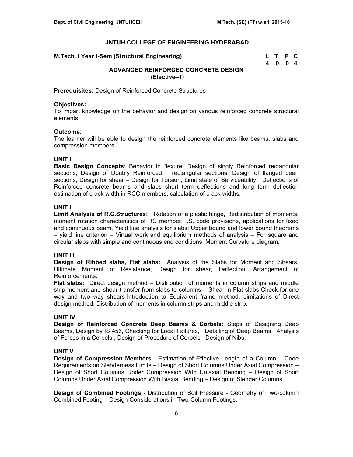#### **M.Tech. I Year I-Sem (Structural Engineering)**

| M.Tech. I Year I-Sem (Structural Engineering) | L T P C |  |
|-----------------------------------------------|---------|--|
|                                               | 4 0 0 4 |  |

# **ADVANCED REINFORCED CONCRETE DESIGN (Elective–1)**

**Prerequisites:** Design of Reinforced Concrete Structures

## **Objectives:**

To impart knowledge on the behavior and design on various reinforced concrete structural elements.

#### **Outcome**:

The learner will be able to design the reinforced concrete elements like beams, slabs and compression members.

#### **UNIT I**

**Basic Design Concepts**: Behavior in flexure, Design of singly Reinforced rectangular sections, Design of Doubly Reinforced rectangular sections, Design of flanged bean sections, Design for shear – Design for Torsion**,** Limit state of Serviceability**:** Deflections of Reinforced concrete beams and slabs short term deflections and long term deflection estimation of crack width in RCC members, calculation of crack widths.

#### **UNIT II**

**Limit Analysis of R.C.Structures:** Rotation of a plastic hinge, Redistribution of moments, moment rotation characteristics of RC member, I.S. code provisions, applications for fixed and continuous beam. Yield line analysis for slabs: Upper bound and lower bound theorems – yield line criterion – Virtual work and equilibrium methods of analysis – For square and circular slabs with simple and continuous end conditions. Moment Curvature diagram.

## **UNIT III**

**Design of Ribbed slabs, Flat slabs:** Analysis of the Slabs for Moment and Shears, Ultimate Moment of Resistance, Design for shear, Deflection, Arrangement of Reinforcements.

**Flat slabs:** Direct design method – Distribution of moments in column strips and middle strip-moment and shear transfer from slabs to columns – Shear in Flat slabs-Check for one way and two way shears-Introduction to Equivalent frame method. Limitations of Direct design method, Distribution of moments in column strips and middle strip.

## **UNIT IV**

**Design of Reinforced Concrete Deep Beams & Corbels:** Steps of Designing Deep Beams, Design by IS 456, Checking for Local Failures, Detailing of Deep Beams, Analysis of Forces in a Corbels , Design of Procedure of Corbels , Design of Nibs.

## **UNIT V**

**Design of Compression Members** - Estimation of Effective Length of a Column – Code Requirements on Slenderness Limits,– Design of Short Columns Under Axial Compression – Design of Short Columns Under Compression With Uniaxial Bending – Design of Short Columns Under Axial Compression With Biaxial Bending – Design of Slender Columns.

**Design of Combined Footings -** Distribution of Soil Pressure - Geometry of Two-column Combined Footing – Design Considerations in Two-Column Footings.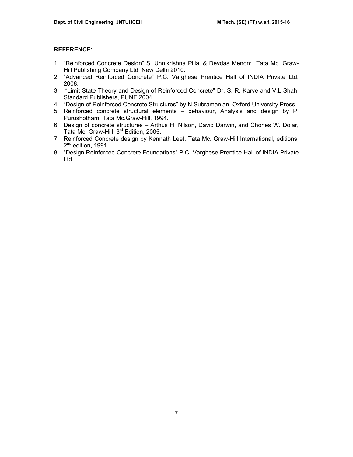- 1. "Reinforced Concrete Design" S. Unnikrishna Pillai & Devdas Menon; Tata Mc. Graw-Hill Publishing Company Ltd. New Delhi 2010.
- 2. "Advanced Reinforced Concrete" P.C. Varghese Prentice Hall of INDIA Private Ltd. 2008.
- 3. "Limit State Theory and Design of Reinforced Concrete" Dr. S. R. Karve and V.L Shah. Standard Publishers, PUNE 2004.
- 4. "Design of Reinforced Concrete Structures" by N.Subramanian, Oxford University Press.
- 5. Reinforced concrete structural elements behaviour, Analysis and design by P. Purushotham, Tata Mc.Graw-Hill, 1994.
- 6. Design of concrete structures Arthus H. Nilson, David Darwin, and Chorles W. Dolar, Tata Mc. Graw-Hill, 3<sup>rd</sup> Edition, 2005.
- 7. Reinforced Concrete design by Kennath Leet, Tata Mc. Graw-Hill International, editions, 2<sup>nd</sup> edition, 1991.
- 8. "Design Reinforced Concrete Foundations" P.C. Varghese Prentice Hall of INDIA Private Ltd.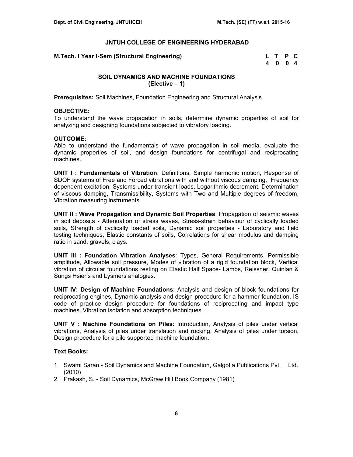| M.Tech. I Year I-Sem (Structural Engineering) | L T P C |  |
|-----------------------------------------------|---------|--|
|                                               | 4004    |  |

## **SOIL DYNAMICS AND MACHINE FOUNDATIONS (Elective – 1)**

**Prerequisites:** Soil Machines, Foundation Engineering and Structural Analysis

#### **OBJECTIVE:**

To understand the wave propagation in soils, determine dynamic properties of soil for analyzing and designing foundations subjected to vibratory loading.

#### **OUTCOME:**

Able to understand the fundamentals of wave propagation in soil media, evaluate the dynamic properties of soil, and design foundations for centrifugal and reciprocating machines.

**UNIT I : Fundamentals of Vibration**: Definitions, Simple harmonic motion, Response of SDOF systems of Free and Forced vibrations with and without viscous damping, Frequency dependent excitation, Systems under transient loads, Logarithmic decrement, Determination of viscous damping, Transmissibility, Systems with Two and Multiple degrees of freedom, Vibration measuring instruments.

**UNIT II : Wave Propagation and Dynamic Soil Properties**: Propagation of seismic waves in soil deposits - Attenuation of stress waves, Stress-strain behaviour of cyclically loaded soils, Strength of cyclically loaded soils, Dynamic soil properties - Laboratory and field testing techniques, Elastic constants of soils, Correlations for shear modulus and damping ratio in sand, gravels, clays.

**UNIT III : Foundation Vibration Analyses**: Types, General Requirements, Permissible amplitude, Allowable soil pressure, Modes of vibration of a rigid foundation block, Vertical vibration of circular foundations resting on Elastic Half Space- Lambs, Reissner, Quinlan & Sungs Hsiehs and Lysmers analogies.

**UNIT IV: Design of Machine Foundations**: Analysis and design of block foundations for reciprocating engines, Dynamic analysis and design procedure for a hammer foundation, IS code of practice design procedure for foundations of reciprocating and impact type machines. Vibration isolation and absorption techniques.

**UNIT V : Machine Foundations on Piles**: Introduction, Analysis of piles under vertical vibrations, Analysis of piles under translation and rocking, Analysis of piles under torsion, Design procedure for a pile supported machine foundation.

## **Text Books:**

- 1. Swami Saran Soil Dynamics and Machine Foundation, Galgotia Publications Pvt. Ltd. (2010)
- 2. Prakash, S. Soil Dynamics, McGraw Hill Book Company (1981)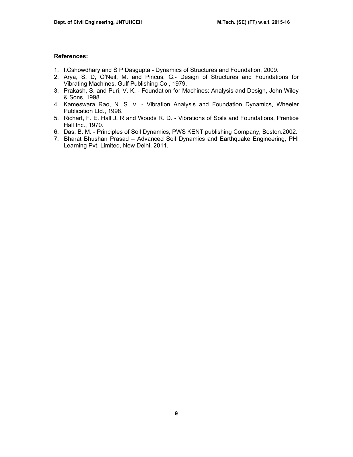- 1. I.Cshowdhary and S P Dasgupta Dynamics of Structures and Foundation, 2009.
- 2. Arya, S. D, O'Neil, M. and Pincus, G.- Design of Structures and Foundations for Vibrating Machines, Gulf Publishing Co., 1979.
- 3. Prakash, S. and Puri, V. K. Foundation for Machines: Analysis and Design, John Wiley & Sons, 1998.
- 4. Kameswara Rao, N. S. V. Vibration Analysis and Foundation Dynamics, Wheeler Publication Ltd., 1998.
- 5. Richart, F. E. Hall J. R and Woods R. D. Vibrations of Soils and Foundations, Prentice Hall Inc., 1970.
- 6. Das, B. M. Principles of Soil Dynamics, PWS KENT publishing Company, Boston.2002.
- 7. Bharat Bhushan Prasad Advanced Soil Dynamics and Earthquake Engineering, PHI Learning Pvt. Limited, New Delhi, 2011.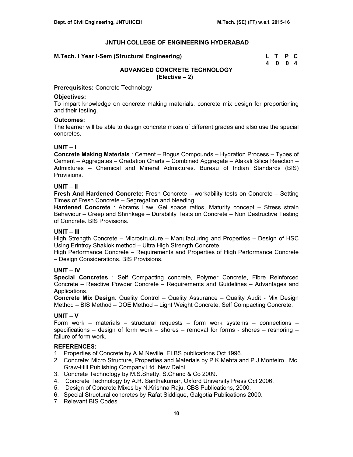#### **M.Tech. I Year I-Sem (Structural Engineering)**

| M.Tech. I Year I-Sem (Structural Engineering) | L T P C |  |
|-----------------------------------------------|---------|--|
|                                               | 4004    |  |

# **ADVANCED CONCRETE TECHNOLOGY (Elective – 2)**

**Prerequisites:** Concrete Technology

#### **Objectives:**

To impart knowledge on concrete making materials, concrete mix design for proportioning and their testing.

#### **Outcomes:**

The learner will be able to design concrete mixes of different grades and also use the special concretes.

## **UNIT – I**

**Concrete Making Materials** : Cement – Bogus Compounds – Hydration Process – Types of Cement – Aggregates – Gradation Charts – Combined Aggregate – Alakali Silica Reaction – Admixtures – Chemical and Mineral Admixtures. Bureau of Indian Standards (BIS) Provisions.

## **UNIT – II**

**Fresh And Hardened Concrete**: Fresh Concrete – workability tests on Concrete – Setting Times of Fresh Concrete – Segregation and bleeding.

**Hardened Concrete** : Abrams Law, Gel space ratios, Maturity concept – Stress strain Behaviour – Creep and Shrinkage – Durability Tests on Concrete – Non Destructive Testing of Concrete. BIS Provisions.

## **UNIT – III**

High Strength Concrete – Microstructure – Manufacturing and Properties – Design of HSC Using Erintroy Shaklok method – Ultra High Strength Concrete.

High Performance Concrete – Requirements and Properties of High Performance Concrete – Design Considerations. BIS Provisions.

## **UNIT – IV**

**Special Concretes** : Self Compacting concrete, Polymer Concrete, Fibre Reinforced Concrete – Reactive Powder Concrete – Requirements and Guidelines – Advantages and Applications.

**Concrete Mix Design**: Quality Control – Quality Assurance – Quality Audit - Mix Design Method – BIS Method – DOE Method – Light Weight Concrete, Self Compacting Concrete.

# **UNIT – V**

Form work – materials – structural requests – form work systems – connections  $\cdot$ specifications – design of form work – shores – removal for forms - shores – reshoring – failure of form work.

- 1. Properties of Concrete by A.M.Neville, ELBS publications Oct 1996.
- 2. Concrete: Micro Structure, Properties and Materials by P.K.Mehta and P.J.Monteiro,. Mc. Graw-Hill Publishing Company Ltd. New Delhi
- 3. Concrete Technology by M.S.Shetty, S.Chand & Co 2009.
- 4. Concrete Technology by A.R. Santhakumar, Oxford University Press Oct 2006.
- 5. Design of Concrete Mixes by N.Krishna Raju, CBS Publications, 2000.
- 6. Special Structural concretes by Rafat Siddique, Galgotia Publications 2000.
- 7. Relevant BIS Codes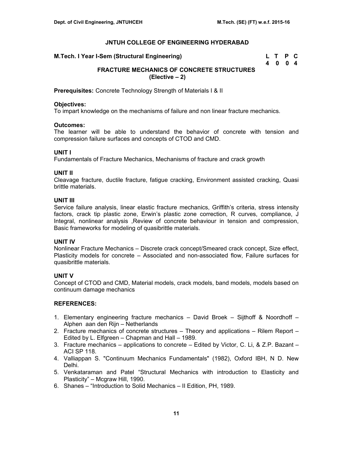| M.Tech. I Year I-Sem (Structural Engineering) | L T P C |  |
|-----------------------------------------------|---------|--|
|                                               | 4004    |  |

# **FRACTURE MECHANICS OF CONCRETE STRUCTURES (Elective – 2)**

**Prerequisites:** Concrete Technology Strength of Materials I & II

## **Objectives:**

To impart knowledge on the mechanisms of failure and non linear fracture mechanics.

## **Outcomes:**

The learner will be able to understand the behavior of concrete with tension and compression failure surfaces and concepts of CTOD and CMD.

## **UNIT I**

Fundamentals of Fracture Mechanics, Mechanisms of fracture and crack growth

## **UNIT II**

Cleavage fracture, ductile fracture, fatigue cracking, Environment assisted cracking, Quasi brittle materials.

## **UNIT III**

Service failure analysis, linear elastic fracture mechanics, Griffith's criteria, stress intensity factors, crack tip plastic zone, Erwin's plastic zone correction, R curves, compliance, J Integral, nonlinear analysis ,Review of concrete behaviour in tension and compression, Basic frameworks for modeling of quasibrittle materials.

# **UNIT IV**

Nonlinear Fracture Mechanics – Discrete crack concept/Smeared crack concept, Size effect, Plasticity models for concrete – Associated and non-associated flow, Failure surfaces for quasibrittle materials.

# **UNIT V**

Concept of CTOD and CMD, Material models, crack models, band models, models based on continuum damage mechanics

- 1. Elementary engineering fracture mechanics David Broek Sijthoff & Noordhoff Alphen aan den Rijn – Netherlands
- 2. Fracture mechanics of concrete structures Theory and applications Rilem Report Edited by L. Elfgreen – Chapman and Hall – 1989.
- 3. Fracture mechanics applications to concrete Edited by Victor, C. Li, & Z.P. Bazant ACI SP 118.
- 4. Valliappan S. "Continuum Mechanics Fundamentals" (1982), Oxford IBH, N D. New Delhi.
- 5. Venkataraman and Patel "Structural Mechanics with introduction to Elasticity and Plasticity" – Mcgraw Hill, 1990.
- 6. Shanes "Introduction to Solid Mechanics II Edition, PH, 1989.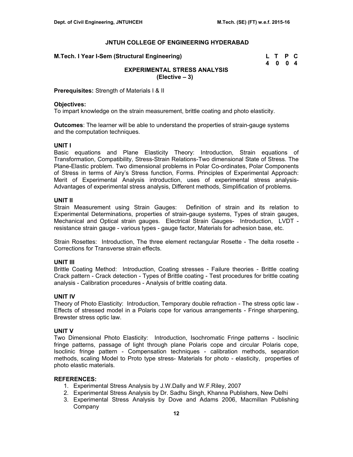| M.Tech. I Year I-Sem (Structural Engineering) | L T P C |  |
|-----------------------------------------------|---------|--|
|                                               | 4004    |  |

# **EXPERIMENTAL STRESS ANALYSIS (Elective – 3)**

**Prerequisites:** Strength of Materials I & II

## **Objectives:**

To impart knowledge on the strain measurement, brittle coating and photo elasticity.

**Outcomes**: The learner will be able to understand the properties of strain-gauge systems and the computation techniques.

#### **UNIT I**

Basic equations and Plane Elasticity Theory: Introduction, Strain equations of Transformation, Compatibility, Stress-Strain Relations-Two dimensional State of Stress. The Plane-Elastic problem. Two dimensional problems in Polar Co-ordinates, Polar Components of Stress in terms of Airy's Stress function, Forms. Principles of Experimental Approach: Merit of Experimental Analysis introduction, uses of experimental stress analysis-Advantages of experimental stress analysis, Different methods, Simplification of problems.

#### **UNIT II**

Strain Measurement using Strain Gauges: Definition of strain and its relation to Experimental Determinations, properties of strain-gauge systems, Types of strain gauges, Mechanical and Optical strain gauges. Electrical Strain Gauges- Introduction, LVDT resistance strain gauge - various types - gauge factor, Materials for adhesion base, etc.

Strain Rosettes:Introduction, The three element rectangular Rosette - The delta rosette - Corrections for Transverse strain effects.

## **UNIT III**

Brittle Coating Method: Introduction, Coating stresses - Failure theories - Brittle coating Crack pattern - Crack detection - Types of Brittle coating - Test procedures for brittle coating analysis - Calibration procedures - Analysis of brittle coating data.

## **UNIT IV**

Theory of Photo Elasticity: Introduction, Temporary double refraction - The stress optic law - Effects of stressed model in a Polaris cope for various arrangements - Fringe sharpening, Brewster stress optic law.

## **UNIT V**

Two Dimensional Photo Elasticity: Introduction, Isochromatic Fringe patterns - Isoclinic fringe patterns, passage of light through plane Polaris cope and circular Polaris cope, Isoclinic fringe pattern - Compensation techniques - calibration methods, separation methods, scaling Model to Proto type stress- Materials for photo - elasticity, properties of photo elastic materials.

- 1. Experimental Stress Analysis by J.W.Dally and W.F.Riley, 2007
- 2. Experimental Stress Analysis by Dr. Sadhu Singh, Khanna Publishers, New Delhi
- 3. Experimental Stress Analysis by Dove and Adams 2006, Macmillan Publishing Company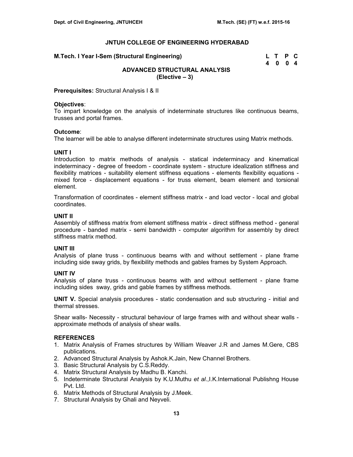| M.Tech. I Year I-Sem (Structural Engineering) | L T P C |  |
|-----------------------------------------------|---------|--|
|                                               | 4004    |  |

# **ADVANCED STRUCTURAL ANALYSIS (Elective – 3)**

**Prerequisites:** Structural Analysis I & II

## **Objectives**:

To impart knowledge on the analysis of indeterminate structures like continuous beams, trusses and portal frames.

#### **Outcome**:

The learner will be able to analyse different indeterminate structures using Matrix methods.

## **UNIT I**

Introduction to matrix methods of analysis - statical indeterminacy and kinematical indeterminacy - degree of freedom - coordinate system - structure idealization stiffness and flexibility matrices - suitability element stiffness equations - elements flexibility equations mixed force - displacement equations - for truss element, beam element and torsional element.

Transformation of coordinates - element stiffness matrix - and load vector - local and global coordinates.

## **UNIT II**

Assembly of stiffness matrix from element stiffness matrix - direct stiffness method - general procedure - banded matrix - semi bandwidth - computer algorithm for assembly by direct stiffness matrix method.

## **UNIT III**

Analysis of plane truss - continuous beams with and without settlement - plane frame including side sway grids, by flexibility methods and gables frames by System Approach.

## **UNIT IV**

Analysis of plane truss - continuous beams with and without settlement - plane frame including sides sway, grids and gable frames by stiffness methods.

**UNIT V.** Special analysis procedures - static condensation and sub structuring - initial and thermal stresses.

Shear walls- Necessity - structural behaviour of large frames with and without shear walls approximate methods of analysis of shear walls.

- 1. Matrix Analysis of Frames structures by William Weaver J.R and James M.Gere, CBS publications.
- 2. Advanced Structural Analysis by Ashok.K.Jain, New Channel Brothers.
- 3. Basic Structural Analysis by C.S.Reddy.
- 4. Matrix Structural Analysis by Madhu B. Kanchi.
- 5. Indeterminate Structural Analysis by K.U.Muthu *et al*.,I.K.International Publishng House Pvt. Ltd.
- 6. Matrix Methods of Structural Analysis by J.Meek.
- 7. Structural Analysis by Ghali and Neyveli.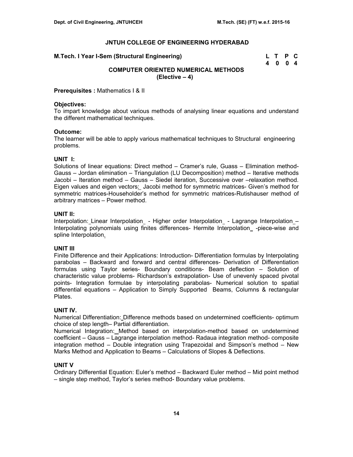| M.Tech. I Year I-Sem (Structural Engineering) | L T P C |  |
|-----------------------------------------------|---------|--|
|                                               | 4 0 0 4 |  |

# **COMPUTER ORIENTED NUMERICAL METHODS (Elective – 4)**

**Prerequisites :** Mathematics I & II

## **Objectives:**

To impart knowledge about various methods of analysing linear equations and understand the different mathematical techniques.

#### **Outcome:**

The learner will be able to apply various mathematical techniques to Structural engineering problems.

#### **UNIT I:**

Solutions of linear equations: Direct method – Cramer's rule, Guass – Elimination method-Gauss – Jordan elimination – Triangulation (LU Decomposition) method – Iterative methods Jacobi – Iteration method – Gauss – Siedel iteration, Successive over –relaxation method. Eigen values and eigen vectors: Jacobi method for symmetric matrices- Given's method for symmetric matrices-Householder's method for symmetric matrices-Rutishauser method of arbitrary matrices – Power method.

#### **UNIT II:**

Interpolation: Linear Interpolation - Higher order Interpolation - Lagrange Interpolation -Interpolating polynomials using finites differences- Hermite Interpolation -piece-wise and spline Interpolation.

## **UNIT III**

Finite Difference and their Applications: Introduction- Differentiation formulas by Interpolating parabolas – Backward and forward and central differences- Derivation of Differentiation formulas using Taylor series- Boundary conditions- Beam deflection – Solution of characteristic value problems- Richardson's extrapolation- Use of unevenly spaced pivotal points- Integration formulae by interpolating parabolas- Numerical solution to spatial differential equations – Application to Simply Supported Beams, Columns & rectangular Plates.

#### **UNIT IV.**

Numerical Differentiation: Difference methods based on undetermined coefficients- optimum choice of step length– Partial differentiation.

Numerical Integration: Method based on interpolation-method based on undetermined coefficient – Gauss – Lagrange interpolation method- Radaua integration method- composite integration method – Double integration using Trapezoidal and Simpson's method – New Marks Method and Application to Beams – Calculations of Slopes & Deflections.

## **UNIT V**

Ordinary Differential Equation: Euler's method – Backward Euler method – Mid point method – single step method, Taylor's series method- Boundary value problems.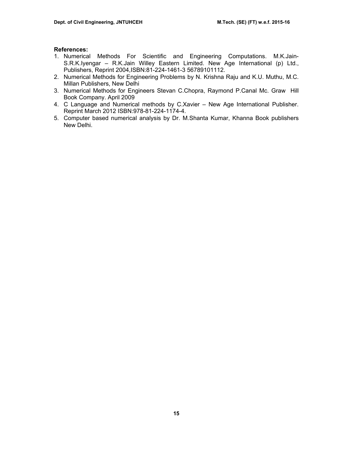- 1. Numerical Methods For Scientific and Engineering Computations. M.K.Jain-S.R.K.Iyengar – R.K.Jain Willey Eastern Limited. New Age International (p) Ltd., Publishers, Reprint 2004,ISBN:81-224-1461-3 56789101112.
- 2. Numerical Methods for Engineering Problems by N. Krishna Raju and K.U. Muthu, M.C. Millan Publishers, New Delhi
- 3. Numerical Methods for Engineers Stevan C.Chopra, Raymond P.Canal Mc. Graw Hill Book Company. April 2009
- 4. C Language and Numerical methods by C.Xavier New Age International Publisher. Reprint March 2012 ISBN:978-81-224-1174-4.
- 5. Computer based numerical analysis by Dr. M.Shanta Kumar, Khanna Book publishers New Delhi.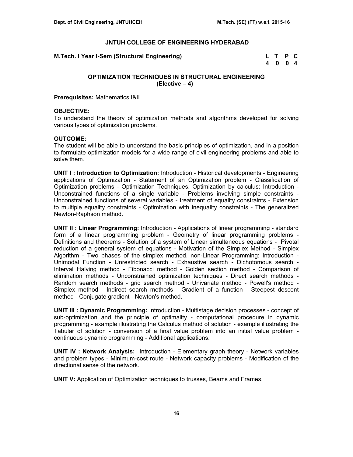**M.Tech. I Year I-Sem (Structural Engineering)** 

| M.Tech. I Year I-Sem (Structural Engineering) | L T P C |  |
|-----------------------------------------------|---------|--|
|                                               | 4 0 0 4 |  |

## **OPTIMIZATION TECHNIQUES IN STRUCTURAL ENGINEERING (Elective – 4)**

**Prerequisites:** Mathematics I&II

#### **OBJECTIVE:**

To understand the theory of optimization methods and algorithms developed for solving various types of optimization problems.

#### **OUTCOME:**

The student will be able to understand the basic principles of optimization, and in a position to formulate optimization models for a wide range of civil engineering problems and able to solve them.

**UNIT I : Introduction to Optimization:** Introduction - Historical developments - Engineering applications of Optimization - Statement of an Optimization problem - Classification of Optimization problems - Optimization Techniques. Optimization by calculus: Introduction - Unconstrained functions of a single variable - Problems involving simple constraints - Unconstrained functions of several variables - treatment of equality constraints - Extension to multiple equality constraints - Optimization with inequality constraints - The generalized Newton-Raphson method.

**UNIT II : Linear Programming:** Introduction - Applications of linear programming - standard form of a linear programming problem - Geometry of linear programming problems - Definitions and theorems - Solution of a system of Linear simultaneous equations - Pivotal reduction of a general system of equations - Motivation of the Simplex Method - Simplex Algorithm - Two phases of the simplex method. non-Linear Programming: Introduction - Unimodal Function - Unrestricted search - Exhaustive search - Dichotomous search - Interval Halving method - Fibonacci method - Golden section method - Comparison of elimination methods - Unconstrained optimization techniques - Direct search methods - Random search methods - grid search method - Univariate method - Powell's method - Simplex method - Indirect search methods - Gradient of a function - Steepest descent method - Conjugate gradient - Newton's method.

**UNIT III : Dynamic Programming:** Introduction - Multistage decision processes - concept of sub-optimization and the principle of optimality - computational procedure in dynamic programming - example illustrating the Calculus method of solution - example illustrating the Tabular of solution - conversion of a final value problem into an initial value problem continuous dynamic programming - Additional applications.

**UNIT IV : Network Analysis:** Introduction - Elementary graph theory - Network variables and problem types - Minimum-cost route - Network capacity problems - Modification of the directional sense of the network.

**UNIT V:** Application of Optimization techniques to trusses, Beams and Frames.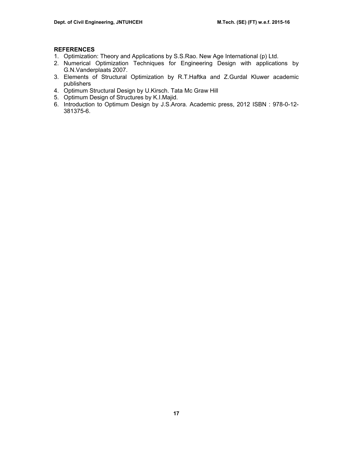- 1. Optimization: Theory and Applications by S.S.Rao. New Age International (p) Ltd.
- 2. Numerical Optimization Techniques for Engineering Design with applications by G.N.Vanderplaats 2007.
- 3. Elements of Structural Optimization by R.T.Haftka and Z.Gurdal Kluwer academic publishers
- 4. Optimum Structural Design by U.Kirsch. Tata Mc Graw Hill
- 5. Optimum Design of Structures by K.I.Majid.
- 6. Introduction to Optimum Design by J.S.Arora. Academic press, 2012 ISBN : 978-0-12- 381375-6.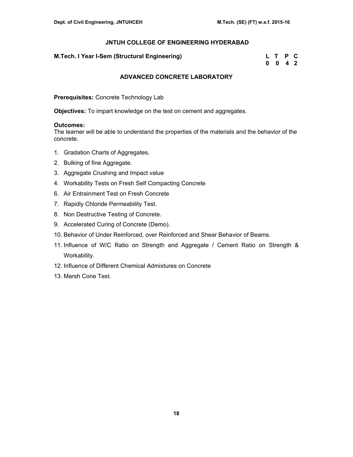## **M.Tech. I Year I-Sem (Structural Engineering)**

| M.Tech. I Year I-Sem (Structural Engineering) | L T P C            |  |
|-----------------------------------------------|--------------------|--|
|                                               | $0 \t 0 \t 4 \t 2$ |  |

## **ADVANCED CONCRETE LABORATORY**

**Prerequisites:** Concrete Technology Lab

**Objectives:** To impart knowledge on the test on cement and aggregates.

#### **Outcomes:**

The learner will be able to understand the properties of the materials and the behavior of the concrete.

- 1. Gradation Charts of Aggregates.
- 2. Bulking of fine Aggregate.
- 3. Aggregate Crushing and Impact value
- 4. Workability Tests on Fresh Self Compacting Concrete
- 6. Air Entrainment Test on Fresh Concrete
- 7. Rapidly Chloride Permeability Test.
- 8. Non Destructive Testing of Concrete.
- 9. Accelerated Curing of Concrete (Demo).
- 10. Behavior of Under Reinforced, over Reinforced and Shear Behavior of Beams.
- 11. Influence of W/C Ratio on Strength and Aggregate / Cement Ratio on Strength & Workability.
- 12. Influence of Different Chemical Admixtures on Concrete
- 13. Marsh Cone Test.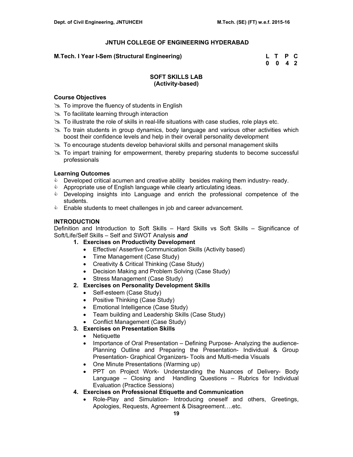## **M.Tech. I Year I-Sem (Structural Engineering) L T P C**

 **0 0 4 2** 

## **SOFT SKILLS LAB (Activity-based)**

## **Course Objectives**

- $\gg$  To improve the fluency of students in English
- $\gg$  To facilitate learning through interaction
- $\gg$  To illustrate the role of skills in real-life situations with case studies, role plays etc.
- $\geq$  To train students in group dynamics, body language and various other activities which boost their confidence levels and help in their overall personality development
- $\geq$  To encourage students develop behavioral skills and personal management skills
- $\gg$  To impart training for empowerment, thereby preparing students to become successful professionals

## **Learning Outcomes**

- **Developed critical acumen and creative ability besides making them industry- ready.**
- **&** Appropriate use of English language while clearly articulating ideas.
- **EXE** Developing insights into Language and enrich the professional competence of the students.
- **Enable students to meet challenges in job and career advancement.**

## **INTRODUCTION**

Definition and Introduction to Soft Skills – Hard Skills vs Soft Skills – Significance of Soft/Life/Self Skills – Self and SWOT Analysis *and*

- **1. Exercises on Productivity Development** 
	- Effective/ Assertive Communication Skills (Activity based)
	- Time Management (Case Study)
	- Creativity & Critical Thinking (Case Study)
	- Decision Making and Problem Solving (Case Study)
	- Stress Management (Case Study)

# **2. Exercises on Personality Development Skills**

- Self-esteem (Case Study)
- Positive Thinking (Case Study)
- Emotional Intelligence (Case Study)
- Team building and Leadership Skills (Case Study)
- Conflict Management (Case Study)
- **3. Exercises on Presentation Skills** 
	- Netiquette
	- Importance of Oral Presentation Defining Purpose- Analyzing the audience-Planning Outline and Preparing the Presentation- Individual & Group Presentation- Graphical Organizers- Tools and Multi-media Visuals
	- One Minute Presentations (Warming up)
	- PPT on Project Work- Understanding the Nuances of Delivery- Body Language – Closing and Handling Questions – Rubrics for Individual Evaluation (Practice Sessions)
- **4. Exercises on Professional Etiquette and Communication** 
	- Role-Play and Simulation- Introducing oneself and others, Greetings, Apologies, Requests, Agreement & Disagreement….etc.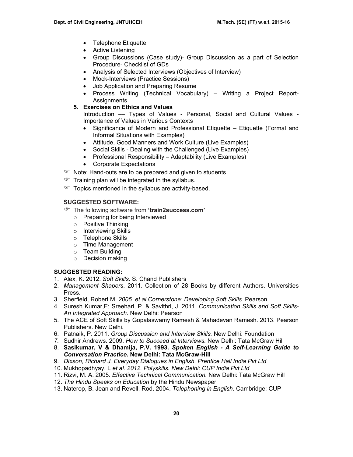- Telephone Etiquette
- Active Listening
- Group Discussions (Case study)- Group Discussion as a part of Selection Procedure- Checklist of GDs
- Analysis of Selected Interviews (Objectives of Interview)
- Mock-Interviews (Practice Sessions)
- Job Application and Preparing Resume
- Process Writing (Technical Vocabulary) Writing a Project Report-Assignments
- **5. Exercises on Ethics and Values**

Introduction –– Types of Values - Personal, Social and Cultural Values - Importance of Values in Various Contexts

- Significance of Modern and Professional Etiquette Etiquette (Formal and Informal Situations with Examples)
- Attitude, Good Manners and Work Culture (Live Examples)
- Social Skills Dealing with the Challenged (Live Examples)
- Professional Responsibility Adaptability (Live Examples)
- Corporate Expectations
- The Note: Hand-outs are to be prepared and given to students.
- $\mathcal{F}$  Training plan will be integrated in the syllabus.
- Topics mentioned in the syllabus are activity-based.

## **SUGGESTED SOFTWARE:**

- ) The following software from **'train2success.com'** 
	- o Preparing for being Interviewed
	- o Positive Thinking
	- o Interviewing Skills
	- o Telephone Skills
	- o Time Management
	- o Team Building
	- o Decision making

# **SUGGESTED READING:**

- 1. Alex, K. 2012. *Soft Skills.* S. Chand Publishers
- 2. *Management Shapers*. 2011. Collection of 28 Books by different Authors. Universities Press.
- 3. Sherfield, Robert M. *2005. et al Cornerstone: Developing Soft Skills*. Pearson
- 4. Suresh Kumar,E; Sreehari, P. & Savithri, J. 2011. *Communication Skills and Soft Skills-An Integrated Approach.* New Delhi: Pearson
- 5. The ACE of Soft Skills by Gopalaswamy Ramesh & Mahadevan Ramesh. 2013. Pearson Publishers. New Delhi.
- 6. Patnaik, P. 2011. *Group Discussion and Interview Skills.* New Delhi: Foundation
- *7.* Sudhir Andrews. 2009. *How to Succeed at Interviews.* New Delhi: Tata McGraw Hill
- 8. **Sasikumar, V & Dhamija, P.V. 1993.** *Spoken English A Self-Learning Guide to Conversation Practice.* **New Delhi: Tata McGraw-Hill**
- 9. *Dixson, Richard J. Everyday Dialogues in English. Prentice Hall India Pvt Ltd*
- 10. Mukhopadhyay. L *et al. 2012. Polyskills. New Delhi: CUP India Pvt Ltd*
- 11. Rizvi, M. A. 2005. *Effective Technical Communication.* New Delhi: Tata McGraw Hill
- 12. *The Hindu Speaks on Education* by the Hindu Newspaper
- 13. Naterop, B. Jean and Revell, Rod. 2004. *Telephoning in English*. Cambridge: CUP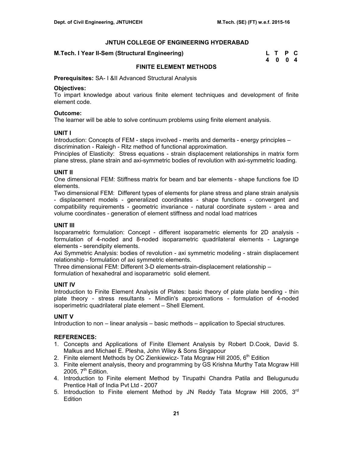#### **M.Tech. I Year II-Sem (Structural Engineering)**

| M.Tech. I Year II-Sem (Structural Engineering) | L T P C |  |
|------------------------------------------------|---------|--|
|                                                | 4004    |  |

## **FINITE ELEMENT METHODS**

**Prerequisites:** SA- I &II Advanced Structural Analysis

#### **Objectives:**

To impart knowledge about various finite element techniques and development of finite element code.

#### **Outcome:**

The learner will be able to solve continuum problems using finite element analysis.

## **UNIT I**

Introduction: Concepts of FEM - steps involved - merits and demerits - energy principles – discrimination - Raleigh - Ritz method of functional approximation.

Principles of Elasticity: Stress equations - strain displacement relationships in matrix form plane stress, plane strain and axi-symmetric bodies of revolution with axi-symmetric loading.

## **UNIT II**

One dimensional FEM: Stiffness matrix for beam and bar elements - shape functions foe ID elements.

Two dimensional FEM: Different types of elements for plane stress and plane strain analysis - displacement models - generalized coordinates - shape functions - convergent and compatibility requirements - geometric invariance - natural coordinate system - area and volume coordinates - generation of element stiffness and nodal load matrices

## **UNIT III**

Isoparametric formulation: Concept - different isoparametric elements for 2D analysis formulation of 4-noded and 8-noded isoparametric quadrilateral elements - Lagrange elements - serendipity elements.

Axi Symmetric Analysis: bodies of revolution - axi symmetric modeling - strain displacement relationship - formulation of axi symmetric elements.

Three dimensional FEM: Different 3-D elements-strain-displacement relationship – formulation of hexahedral and isoparametric solid element.

## **UNIT IV**

Introduction to Finite Element Analysis of Plates: basic theory of plate plate bending - thin plate theory - stress resultants - Mindlin's approximations - formulation of 4-noded isoperimetric quadrilateral plate element – Shell Element.

## **UNIT V**

Introduction to non – linear analysis – basic methods – application to Special structures.

- 1. Concepts and Applications of Finite Element Analysis by Robert D.Cook, David S. Malkus and Michael E. Plesha, John Wiley & Sons Singapour
- 2. Finite element Methods by OC Zienkiewicz- Tata Mcgraw Hill 2005, 6<sup>th</sup> Edition
- 3. Finite element analysis, theory and programming by GS Krishna Murthy Tata Mcgraw Hill 2005,  $7<sup>th</sup>$  Edition.
- 4. Introduction to Finite element Method by Tirupathi Chandra Patila and Belugunudu Prentice Hall of India Pvt Ltd - 2007
- 5. Introduction to Finite element Method by JN Reddy Tata Mcgraw Hill 2005,  $3<sup>rd</sup>$ **Edition**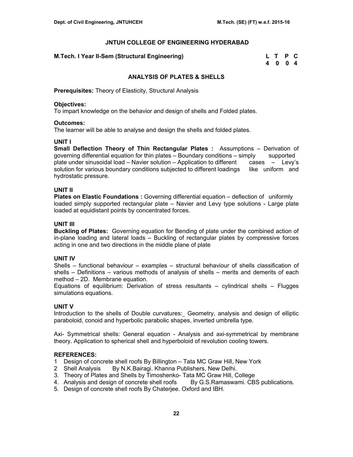## **M.Tech. I Year II-Sem (Structural Engineering)**

| M.Tech. I Year II-Sem (Structural Engineering) | L T P C |  |
|------------------------------------------------|---------|--|
|                                                | 4004    |  |

## **ANALYSIS OF PLATES & SHELLS**

**Prerequisites:** Theory of Elasticity, Structural Analysis

## **Objectives:**

To impart knowledge on the behavior and design of shells and Folded plates.

## **Outcomes:**

The learner will be able to analyse and design the shells and folded plates.

## **UNIT I**

**Small Deflection Theory of Thin Rectangular Plates :** Assumptions – Derivation of governing differential equation for thin plates – Boundary conditions – simply supported plate under sinusoidal load – Navier solution – Application to different cases – Levy's solution for various boundary conditions subjected to different loadings like uniform and hydrostatic pressure.

## **UNIT II**

**Plates on Elastic Foundations :** Governing differential equation – deflection of uniformly loaded simply supported rectangular plate – Navier and Levy type solutions - Large plate loaded at equidistant points by concentrated forces.

## **UNIT III**

**Buckling of Plates:** Governing equation for Bending of plate under the combined action of in-plane loading and lateral loads – Buckling of rectangular plates by compressive forces acting in one and two directions in the middle plane of plate

# **UNIT IV**

Shells – functional behaviour – examples – structural behaviour of shells classification of shells – Definitions – various methods of analysis of shells – merits and demerits of each method – 2D. Membrane equation.

Equations of equilibrium: Derivation of stress resultants – cylindrical shells – Flugges simulations equations.

# **UNIT V**

Introduction to the shells of Double curvatures: Geometry, analysis and design of elliptic paraboloid, conoid and hyperbolic parabolic shapes, inverted umbrella type.

Axi- Symmetrical shells: General equation - Analysis and axi-symmetrical by membrane theory. Application to spherical shell and hyperboloid of revolution cooling towers.

- 1 Design of concrete shell roofs By Billington Tata MC Graw Hill, New York<br>2 Shell Analysis By N.K.Bairagi. Khanna Publishers, New Delhi.
- By N.K.Bairagi. Khanna Publishers, New Delhi.
- 3. Theory of Plates and Shells by Timoshenko- Tata MC Graw Hill, College
- 4. Analysis and design of concrete shell roofs By G.S.Ramaswami. CBS publications.
- 5. Design of concrete shell roofs By Chaterjee. Oxford and IBH.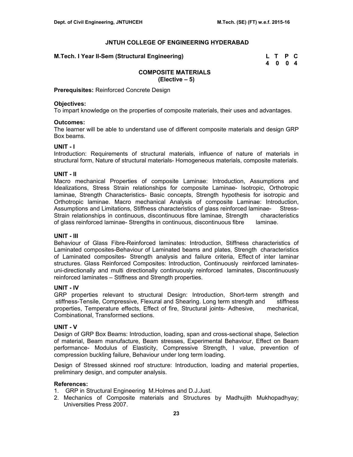**M.Tech. I Year II-Sem (Structural Engineering)** 

| M.Tech. I Year II-Sem (Structural Engineering) | L T P C |  |
|------------------------------------------------|---------|--|
|                                                | 4004    |  |

#### **COMPOSITE MATERIALS (Elective – 5)**

**Prerequisites:** Reinforced Concrete Design

#### **Objectives:**

To impart knowledge on the properties of composite materials, their uses and advantages.

## **Outcomes:**

The learner will be able to understand use of different composite materials and design GRP Box beams.

#### **UNIT - I**

Introduction: Requirements of structural materials, influence of nature of materials in structural form, Nature of structural materials- Homogeneous materials, composite materials.

## **UNIT - II**

Macro mechanical Properties of composite Laminae: Introduction, Assumptions and Idealizations, Stress Strain relationships for composite Laminae- Isotropic, Orthotropic laminae, Strength Characteristics- Basic concepts, Strength hypothesis for isotropic and Orthotropic laminae. Macro mechanical Analysis of composite Laminae: Introduction, Assumptions and Limitations, Stiffness characteristics of glass reinforced laminae- Stress-Strain relationships in continuous, discontinuous fibre laminae, Strength characteristics of glass reinforced laminae- Strengths in continuous, discontinuous fibre laminae.

## **UNIT - III**

Behaviour of Glass Fibre-Reinforced laminates: Introduction, Stiffness characteristics of Laminated composites-Behaviour of Laminated beams and plates, Strength characteristics of Laminated composites- Strength analysis and failure criteria, Effect of inter laminar structures. Glass Reinforced Composites: Introduction, Continuously reinforced laminatesuni-directionally and multi directionally continuously reinforced laminates, Discontinuously reinforced laminates – Stiffness and Strength properties.

## **UNIT - IV**

GRP properties relevant to structural Design: Introduction, Short-term strength and stiffness-Tensile, Compressive, Flexural and Shearing. Long term strength and stiffness properties, Temperature effects, Effect of fire, Structural joints- Adhesive, mechanical, Combinational, Transformed sections.

## **UNIT - V**

Design of GRP Box Beams: Introduction, loading, span and cross-sectional shape, Selection of material, Beam manufacture, Beam stresses, Experimental Behaviour, Effect on Beam performance- Modulus of Elasticity, Compressive Strength, I value, prevention of compression buckling failure, Behaviour under long term loading.

Design of Stressed skinned roof structure: Introduction, loading and material properties, preliminary design, and computer analysis.

- 1. GRP in Structural Engineering M.Holmes and D.J.Just.
- 2. Mechanics of Composite materials and Structures by Madhujith Mukhopadhyay; Universities Press 2007.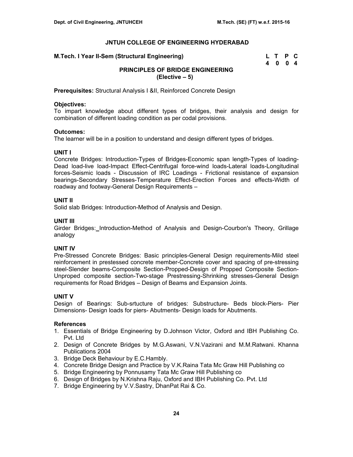| M.Tech. I Year II-Sem (Structural Engineering) | L T P C |  |
|------------------------------------------------|---------|--|
|                                                | 4004    |  |

# **PRINCIPLES OF BRIDGE ENGINEERING (Elective – 5)**

**Prerequisites:** Structural Analysis I &II, Reinforced Concrete Design

## **Objectives:**

To impart knowledge about different types of bridges, their analysis and design for combination of different loading condition as per codal provisions.

## **Outcomes:**

The learner will be in a position to understand and design different types of bridges.

## **UNIT I**

Concrete Bridges: Introduction-Types of Bridges-Economic span length-Types of loading-Dead load-live load-Impact Effect-Centrifugal force-wind loads-Lateral loads-Longitudinal forces-Seismic loads - Discussion of IRC Loadings - Frictional resistance of expansion bearings-Secondary Stresses-Temperature Effect-Erection Forces and effects-Width of roadway and footway-General Design Requirements –

## **UNIT II**

Solid slab Bridges: Introduction-Method of Analysis and Design.

## **UNIT III**

Girder Bridges: Introduction-Method of Analysis and Design-Courbon's Theory, Grillage analogy

# **UNIT IV**

Pre-Stressed Concrete Bridges: Basic principles-General Design requirements-Mild steel reinforcement in prestessed concrete member-Concrete cover and spacing of pre-stressing steel-Slender beams-Composite Section-Propped-Design of Propped Composite Section-Unproped composite section-Two-stage Prestressing-Shrinking stresses-General Design requirements for Road Bridges – Design of Beams and Expansion Joints.

# **UNIT V**

Design of Bearings: Sub-srtucture of bridges: Substructure- Beds block-Piers- Pier Dimensions- Design loads for piers- Abutments- Design loads for Abutments.

- 1. Essentials of Bridge Engineering by D.Johnson Victor, Oxford and IBH Publishing Co. Pvt. Ltd
- 2. Design of Concrete Bridges by M.G.Aswani, V.N.Vazirani and M.M.Ratwani. Khanna Publications 2004
- 3. Bridge Deck Behaviour by E.C.Hambly.
- 4. Concrete Bridge Design and Practice by V.K.Raina Tata Mc Graw Hill Publishing co
- 5. Bridge Engineering by Ponnusamy Tata Mc Graw Hill Publishing co
- 6. Design of Bridges by N.Krishna Raju, Oxford and IBH Publishing Co. Pvt. Ltd
- 7. Bridge Engineering by V.V.Sastry, DhanPat Rai & Co.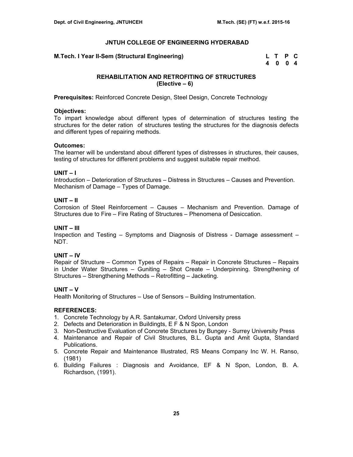**M.Tech. I Year II-Sem (Structural Engineering)** 

| M.Tech. I Year II-Sem (Structural Engineering) | L T P C |  |
|------------------------------------------------|---------|--|
|                                                | 4004    |  |

## **REHABILITATION AND RETROFITING OF STRUCTURES (Elective – 6)**

**Prerequisites:** Reinforced Concrete Design, Steel Design, Concrete Technology

## **Objectives:**

To impart knowledge about different types of determination of structures testing the structures for the deter ration of structures testing the structures for the diagnosis defects and different types of repairing methods.

## **Outcomes:**

The learner will be understand about different types of distresses in structures, their causes, testing of structures for different problems and suggest suitable repair method.

## **UNIT – I**

Introduction – Deterioration of Structures – Distress in Structures – Causes and Prevention. Mechanism of Damage – Types of Damage.

# **UNIT – II**

Corrosion of Steel Reinforcement – Causes – Mechanism and Prevention. Damage of Structures due to Fire – Fire Rating of Structures – Phenomena of Desiccation.

## **UNIT – III**

Inspection and Testing – Symptoms and Diagnosis of Distress - Damage assessment – NDT.

# **UNIT – IV**

Repair of Structure – Common Types of Repairs – Repair in Concrete Structures – Repairs in Under Water Structures – Guniting – Shot Create – Underpinning. Strengthening of Structures – Strengthening Methods – Retrofitting – Jacketing.

# **UNIT – V**

Health Monitoring of Structures – Use of Sensors – Building Instrumentation.

- 1. Concrete Technology by A.R. Santakumar, Oxford University press
- 2. Defects and Deterioration in Buildingts, E F & N Spon, London
- 3. Non-Destructive Evaluation of Concrete Structures by Bungey Surrey University Press
- 4. Maintenance and Repair of Civil Structures, B.L. Gupta and Amit Gupta, Standard Publications.
- 5. Concrete Repair and Maintenance Illustrated, RS Means Company Inc W. H. Ranso, (1981)
- 6. Building Failures : Diagnosis and Avoidance, EF & N Spon, London, B. A. Richardson, (1991).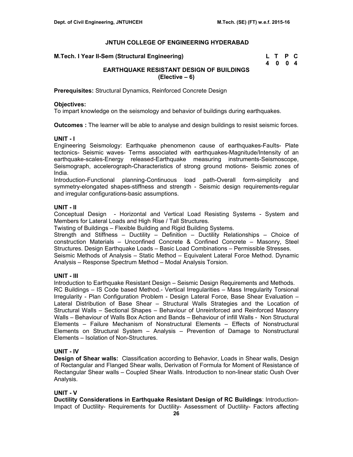| M.Tech. I Year II-Sem (Structural Engineering) | L T P C |  |
|------------------------------------------------|---------|--|
|                                                | 4 0 0 4 |  |

# **EARTHQUAKE RESISTANT DESIGN OF BUILDINGS (Elective – 6)**

**Prerequisites:** Structural Dynamics, Reinforced Concrete Design

## **Objectives:**

To impart knowledge on the seismology and behavior of buildings during earthquakes.

**Outcomes :** The learner will be able to analyse and design buildings to resist seismic forces.

## **UNIT - I**

Engineering Seismology: Earthquake phenomenon cause of earthquakes-Faults- Plate tectonics- Seismic waves- Terms associated with earthquakes-Magnitude/Intensity of an earthquake-scales-Energy released-Earthquake measuring instruments-Seismoscope, Seismograph, accelerograph-Characteristics of strong ground motions- Seismic zones of India.

Introduction-Functional planning-Continuous load path-Overall form-simplicity symmetry-elongated shapes-stiffness and strength - Seismic design requirements-regular and irregular configurations-basic assumptions.

## **UNIT - II**

Conceptual Design - Horizontal and Vertical Load Resisting Systems - System and Members for Lateral Loads and High Rise / Tall Structures.

Twisting of Buildings – Flexible Building and Rigid Building Systems.

Strength and Stiffness – Ductility – Definition – Ductility Relationships – Choice of construction Materials – Unconfined Concrete & Confined Concrete – Masonry, Steel Structures. Design Earthquake Loads – Basic Load Combinations – Permissible Stresses.

Seismic Methods of Analysis – Static Method – Equivalent Lateral Force Method. Dynamic Analysis – Response Spectrum Method – Modal Analysis Torsion.

# **UNIT - III**

Introduction to Earthquake Resistant Design – Seismic Design Requirements and Methods. RC Buildings – IS Code based Method.- Vertical Irregularities – Mass Irregularity Torsional Irregularity - Plan Configuration Problem - Design Lateral Force, Base Shear Evaluation – Lateral Distribution of Base Shear – Structural Walls Strategies and the Location of Structural Walls – Sectional Shapes – Behaviour of Unreinforced and Reinforced Masonry Walls – Behaviour of Walls Box Action and Bands – Behaviour of infill Walls - Non Structural Elements – Failure Mechanism of Nonstructural Elements – Effects of Nonstructural Elements on Structural System – Analysis – Prevention of Damage to Nonstructural Elements – Isolation of Non-Structures.

# **UNIT - IV**

**Design of Shear walls:** Classification according to Behavior, Loads in Shear walls, Design of Rectangular and Flanged Shear walls, Derivation of Formula for Moment of Resistance of Rectangular Shear walls – Coupled Shear Walls. Introduction to non-linear static Oush Over Analysis.

## **UNIT - V**

**Ductility Considerations in Earthquake Resistant Design of RC Buildings**: Introduction-Impact of Ductility- Requirements for Ductility- Assessment of Ductility- Factors affecting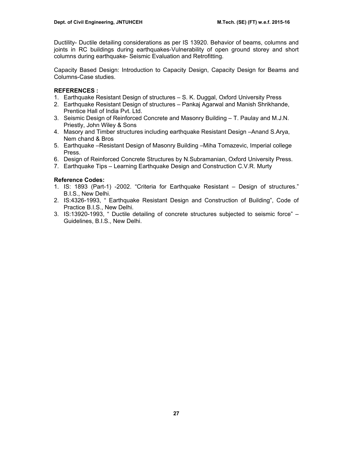Ductility- Ductile detailing considerations as per IS 13920. Behavior of beams, columns and joints in RC buildings during earthquakes-Vulnerability of open ground storey and short columns during earthquake- Seismic Evaluation and Retrofitting.

Capacity Based Design: Introduction to Capacity Design, Capacity Design for Beams and Columns-Case studies.

## **REFERENCES :**

- 1. Earthquake Resistant Design of structures S. K. Duggal, Oxford University Press
- 2. Earthquake Resistant Design of structures Pankaj Agarwal and Manish Shrikhande, Prentice Hall of India Pvt. Ltd.
- 3. Seismic Design of Reinforced Concrete and Masonry Building T. Paulay and M.J.N. Priestly, John Wiley & Sons
- 4. Masory and Timber structures including earthquake Resistant Design –Anand S.Arya, Nem chand & Bros
- 5. Earthquake –Resistant Design of Masonry Building –Miha Tomazevic, Imperial college Press.
- 6. Design of Reinforced Concrete Structures by N.Subramanian, Oxford University Press.
- 7. Earthquake Tips Learning Earthquake Design and Construction C.V.R. Murty

## **Reference Codes:**

- 1. IS: 1893 (Part-1) -2002. "Criteria for Earthquake Resistant Design of structures." B.I.S., New Delhi.
- 2. IS:4326-1993, " Earthquake Resistant Design and Construction of Building", Code of Practice B.I.S., New Delhi.
- 3. IS:13920-1993, " Ductile detailing of concrete structures subjected to seismic force" Guidelines, B.I.S., New Delhi.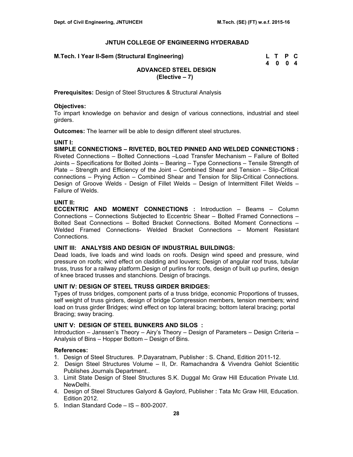| M.Tech. I Year II-Sem (Structural Engineering) | L T P C |  |
|------------------------------------------------|---------|--|
|                                                | 4004    |  |

# **ADVANCED STEEL DESIGN (Elective – 7)**

**Prerequisites:** Design of Steel Structures & Structural Analysis

## **Objectives:**

To impart knowledge on behavior and design of various connections, industrial and steel girders.

**Outcomes:** The learner will be able to design different steel structures.

## **UNIT I:**

**SIMPLE CONNECTIONS – RIVETED, BOLTED PINNED AND WELDED CONNECTIONS :** Riveted Connections – Bolted Connections –Load Transfer Mechanism – Failure of Bolted Joints – Specifications for Bolted Joints – Bearing – Type Connections – Tensile Strength of Plate – Strength and Efficiency of the Joint – Combined Shear and Tension – Slip-Critical connections – Prying Action – Combined Shear and Tension for Slip-Critical Connections. Design of Groove Welds - Design of Fillet Welds – Design of Intermittent Fillet Welds – Failure of Welds.

## **UNIT II:**

**ECCENTRIC AND MOMENT CONNECTIONS :** Introduction – Beams – Column Connections – Connections Subjected to Eccentric Shear – Bolted Framed Connections – Bolted Seat Connections – Bolted Bracket Connections. Bolted Moment Connections – Welded Framed Connections- Welded Bracket Connections – Moment Resistant Connections.

## **UNIT III: ANALYSIS AND DESIGN OF INDUSTRIAL BUILDINGS:**

Dead loads, live loads and wind loads on roofs. Design wind speed and pressure, wind pressure on roofs; wind effect on cladding and louvers; Design of angular roof truss, tubular truss, truss for a railway platform.Design of purlins for roofs, design of built up purlins, design of knee braced trusses and stanchions. Design of bracings.

## **UNIT IV: DESIGN OF STEEL TRUSS GIRDER BRIDGES:**

Types of truss bridges, component parts of a truss bridge, economic Proportions of trusses, self weight of truss girders, design of bridge Compression members, tension members; wind load on truss girder Bridges; wind effect on top lateral bracing; bottom lateral bracing; portal Bracing; sway bracing.

## **UNIT V: DESIGN OF STEEL BUNKERS AND SILOS :**

Introduction – Janssen's Theory – Airy's Theory – Design of Parameters – Design Criteria – Analysis of Bins – Hopper Bottom – Design of Bins.

- 1. Design of Steel Structures. P.Dayaratnam, Publisher : S. Chand, Edition 2011-12.
- 2. Design Steel Structures Volume II, Dr. Ramachandra & Vivendra Gehlot Scientitic Publishes Journals Department..
- 3. Limit State Design of Steel Structures S.K. Duggal Mc Graw Hill Education Private Ltd. NewDelhi.
- 4. Design of Steel Structures Galyord & Gaylord, Publisher : Tata Mc Graw Hill, Education. Edition 2012.
- 5. Indian Standard Code IS 800-2007.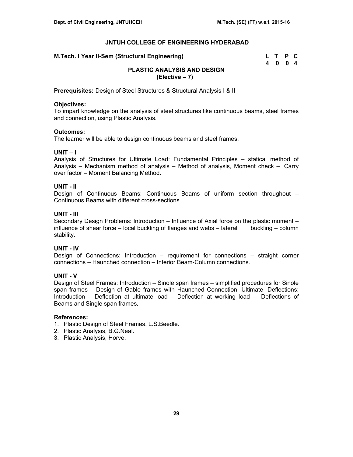**M.Tech. I Year II-Sem (Structural Engineering)** 

| M.Tech. I Year II-Sem (Structural Engineering) | L T P C |  |
|------------------------------------------------|---------|--|
|                                                | 4004    |  |

# **PLASTIC ANALYSIS AND DESIGN (Elective – 7)**

**Prerequisites:** Design of Steel Structures & Structural Analysis I & II

## **Objectives:**

To impart knowledge on the analysis of steel structures like continuous beams, steel frames and connection, using Plastic Analysis.

## **Outcomes:**

The learner will be able to design continuous beams and steel frames.

# **UNIT – I**

Analysis of Structures for Ultimate Load: Fundamental Principles – statical method of Analysis – Mechanism method of analysis – Method of analysis, Moment check – Carry over factor – Moment Balancing Method.

## **UNIT - II**

Design of Continuous Beams: Continuous Beams of uniform section throughout – Continuous Beams with different cross-sections.

## **UNIT - III**

Secondary Design Problems: Introduction – Influence of Axial force on the plastic moment – influence of shear force – local buckling of flanges and webs – lateral buckling – column stability.

# **UNIT - IV**

Design of Connections: Introduction – requirement for connections – straight corner connections – Haunched connection – Interior Beam-Column connections.

# **UNIT - V**

Design of Steel Frames: Introduction – Sinole span frames – simplified procedures for Sinole span frames – Design of Gable frames with Haunched Connection. Ultimate Deflections: Introduction – Deflection at ultimate load – Deflection at working load – Deflections of Beams and Single span frames.

- 1. Plastic Design of Steel Frames, L.S.Beedle.
- 2. Plastic Analysis, B.G.Neal.
- 3. Plastic Analysis, Horve.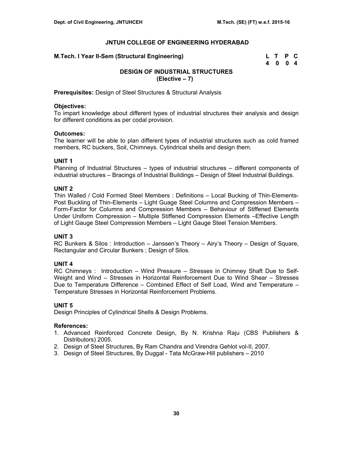| M.Tech. I Year II-Sem (Structural Engineering) | L T P C |  |
|------------------------------------------------|---------|--|
|                                                | 4004    |  |

# **DESIGN OF INDUSTRIAL STRUCTURES (Elective – 7)**

**Prerequisites:** Design of Steel Structures & Structural Analysis

#### **Objectives:**

To impart knowledge about different types of industrial structures their analysis and design for different conditions as per codal provision.

#### **Outcomes:**

The learner will be able to plan different types of industrial structures such as cold framed members, RC buckers, Soil, Chimneys. Cylindrical shells and design them.

## **UNIT 1**

Planning of Industrial Structures – types of industrial structures – different components of industrial structures – Bracings of Industrial Buildings – Design of Steel Industrial Buildings.

## **UNIT 2**

Thin Walled / Cold Formed Steel Members : Definitions – Local Bucking of Thin-Elements-Post Buckling of Thin-Elements – Light Guage Steel Columns and Compression Members – Form-Factor for Columns and Compression Members – Behaviour of Stiffened Elements Under Uniform Compression – Multiple Stiffened Compression Elements –Effective Length of Light Gauge Steel Compression Members – Light Gauge Steel Tension Members.

## **UNIT 3**

RC Bunkers & Silos : Introduction – Janssen's Theory – Airy's Theory – Design of Square, Rectangular and Circular Bunkers ; Design of Silos.

## **UNIT 4**

RC Chimneys : Introduction – Wind Pressure – Stresses in Chimney Shaft Due to Self-Weight and Wind – Stresses in Horizontal Reinforcement Due to Wind Shear – Stresses Due to Temperature Difference – Combined Effect of Self Load, Wind and Temperature – Temperature Stresses in Horizontal Reinforcement Problems.

## **UNIT 5**

Design Principles of Cylindrical Shells & Design Problems.

- 1. Advanced Reinforced Concrete Design, By N. Krishna Raju (CBS Publishers & Distributors) 2005.
- 2. Design of Steel Structures, By Ram Chandra and Virendra Gehlot vol-II, 2007.
- 3. Design of Steel Structures, By Duggal Tata McGraw-Hill publishers 2010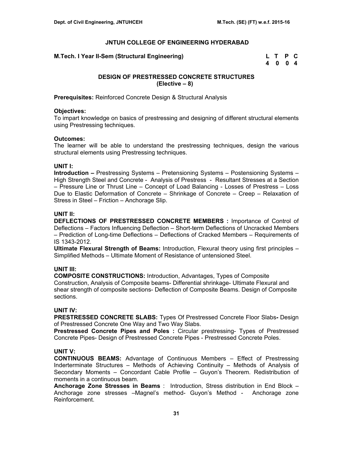**M.Tech. I Year II-Sem (Structural Engineering)** 

| M.Tech. I Year II-Sem (Structural Engineering) | L T P C |  |
|------------------------------------------------|---------|--|
|                                                | 4 0 0 4 |  |

## **DESIGN OF PRESTRESSED CONCRETE STRUCTURES (Elective – 8)**

**Prerequisites:** Reinforced Concrete Design & Structural Analysis

## **Objectives:**

To impart knowledge on basics of prestressing and designing of different structural elements using Prestressing techniques.

## **Outcomes:**

The learner will be able to understand the prestressing techniques, design the various structural elements using Prestressing techniques.

## **UNIT I:**

**Introduction –** Prestressing Systems – Pretensioning Systems – Postensioning Systems – High Strength Steel and Concrete - Analysis of Prestress - Resultant Stresses at a Section – Pressure Line or Thrust Line – Concept of Load Balancing - Losses of Prestress – Loss Due to Elastic Deformation of Concrete – Shrinkage of Concrete – Creep – Relaxation of Stress in Steel – Friction – Anchorage Slip.

## **UNIT II:**

**DEFLECTIONS OF PRESTRESSED CONCRETE MEMBERS :** Importance of Control of Deflections – Factors Influencing Deflection – Short-term Deflections of Uncracked Members – Prediction of Long-time Deflections – Deflections of Cracked Members – Requirements of IS 1343-2012.

**Ultimate Flexural Strength of Beams:** Introduction, Flexural theory using first principles – Simplified Methods – Ultimate Moment of Resistance of untensioned Steel.

## **UNIT III:**

**COMPOSITE CONSTRUCTIONS:** Introduction, Advantages, Types of Composite Construction, Analysis of Composite beams- Differential shrinkage- Ultimate Flexural and shear strength of composite sections- Deflection of Composite Beams. Design of Composite sections.

## **UNIT IV:**

**PRESTRESSED CONCRETE SLABS:** Types Of Prestressed Concrete Floor Slabs**-** Design of Prestressed Concrete One Way and Two Way Slabs.

**Prestressed Concrete Pipes and Poles :** Circular prestressing- Types of Prestressed Concrete Pipes- Design of Prestressed Concrete Pipes - Prestressed Concrete Poles.

## **UNIT V:**

**CONTINUOUS BEAMS:** Advantage of Continuous Members – Effect of Prestressing Inderterminate Structures – Methods of Achieving Continuity – Methods of Analysis of Secondary Moments – Concordant Cable Profile – Guyon's Theorem. Redistribution of moments in a continuous beam.

**Anchorage Zone Stresses in Beams** : Introduction, Stress distribution in End Block – Anchorage zone stresses –Magnel's method- Guyon's Method - Anchorage zone Reinforcement.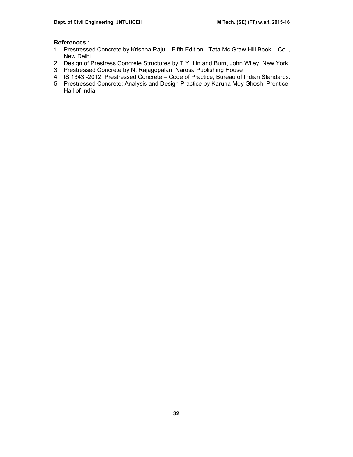- 1. Prestressed Concrete by Krishna Raju Fifth Edition Tata Mc Graw Hill Book Co ., New Delhi.
- 2. Design of Prestress Concrete Structures by T.Y. Lin and Burn, John Wiley, New York.
- 3. Prestressed Concrete by N. Rajagopalan, Narosa Publishing House
- 4. IS 1343 -2012, Prestressed Concrete Code of Practice, Bureau of Indian Standards.
- 5. Prestressed Concrete: Analysis and Design Practice by Karuna Moy Ghosh, Prentice Hall of India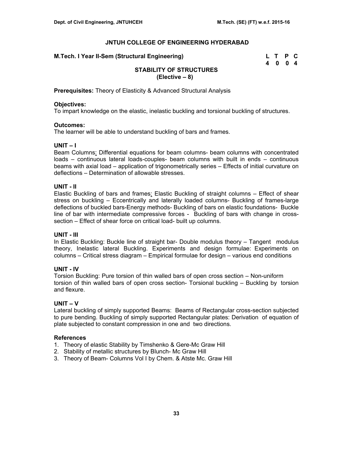| M.Tech. I Year II-Sem (Structural Engineering) | L T P C |  |
|------------------------------------------------|---------|--|
|                                                | 4 0 0 4 |  |

# **STABILITY OF STRUCTURES (Elective – 8)**

**Prerequisites:** Theory of Elasticity & Advanced Structural Analysis

## **Objectives:**

To impart knowledge on the elastic, inelastic buckling and torsional buckling of structures.

## **Outcomes:**

The learner will be able to understand buckling of bars and frames.

## **UNIT – I**

Beam Columns: Differential equations for beam columns- beam columns with concentrated loads – continuous lateral loads-couples- beam columns with built in ends – continuous beams with axial load – application of trigonometrically series – Effects of initial curvature on deflections – Determination of allowable stresses.

## **UNIT - II**

Elastic Buckling of bars and frames: Elastic Buckling of straight columns – Effect of shear stress on buckling – Eccentrically and laterally loaded columns- Buckling of frames-large deflections of buckled bars-Energy methods- Buckling of bars on elastic foundations- Buckle line of bar with intermediate compressive forces - Buckling of bars with change in crosssection – Effect of shear force on critical load- built up columns.

# **UNIT - III**

In Elastic Buckling: Buckle line of straight bar- Double modulus theory – Tangent modulus theory, Inelastic lateral Buckling. Experiments and design formulae: Experiments on columns – Critical stress diagram – Empirical formulae for design – various end conditions

# **UNIT - IV**

Torsion Buckling: Pure torsion of thin walled bars of open cross section – Non-uniform torsion of thin walled bars of open cross section- Torsional buckling – Buckling by torsion and flexure.

# **UNIT – V**

Lateral buckling of simply supported Beams: Beams of Rectangular cross-section subjected to pure bending. Buckling of simply supported Rectangular plates: Derivation of equation of plate subjected to constant compression in one and two directions.

- 1. Theory of elastic Stability by Timshenko & Gere-Mc Graw Hill
- 2. Stability of metallic structures by Blunch- Mc Graw Hill
- 3. Theory of Beam- Columns Vol I by Chem. & Atste Mc. Graw Hill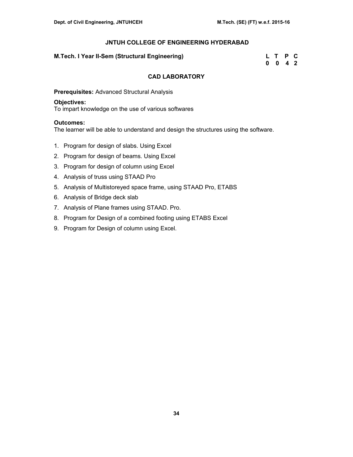## **M.Tech. I Year II-Sem (Structural Engineering)**

| M.Tech. I Year II-Sem (Structural Engineering) | L T P C            |  |
|------------------------------------------------|--------------------|--|
|                                                | $0 \t 0 \t 4 \t 2$ |  |

## **CAD LABORATORY**

**Prerequisites:** Advanced Structural Analysis

## **Objectives:**

To impart knowledge on the use of various softwares

## **Outcomes:**

The learner will be able to understand and design the structures using the software.

- 1. Program for design of slabs. Using Excel
- 2. Program for design of beams. Using Excel
- 3. Program for design of column using Excel
- 4. Analysis of truss using STAAD Pro
- 5. Analysis of Multistoreyed space frame, using STAAD Pro, ETABS
- 6. Analysis of Bridge deck slab
- 7. Analysis of Plane frames using STAAD. Pro.
- 8. Program for Design of a combined footing using ETABS Excel
- 9. Program for Design of column using Excel.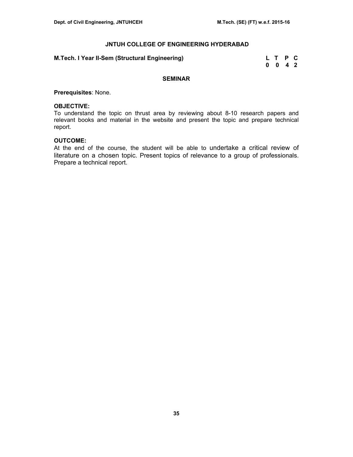**M.Tech. I Year II-Sem (Structural Engineering) L T P C** 

 **0 0 4 2** 

#### **SEMINAR**

**Prerequisites**: None.

#### **OBJECTIVE:**

To understand the topic on thrust area by reviewing about 8-10 research papers and relevant books and material in the website and present the topic and prepare technical report.

## **OUTCOME:**

At the end of the course, the student will be able to undertake a critical review of literature on a chosen topic. Present topics of relevance to a group of professionals. Prepare a technical report.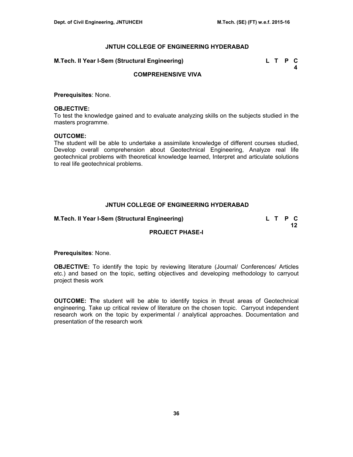#### **M.Tech. II Year I-Sem (Structural Engineering) L T P C**

 **4** 

## **COMPREHENSIVE VIVA**

**Prerequisites**: None.

#### **OBJECTIVE:**

To test the knowledge gained and to evaluate analyzing skills on the subjects studied in the masters programme.

#### **OUTCOME:**

The student will be able to undertake a assimilate knowledge of different courses studied, Develop overall comprehension about Geotechnical Engineering, Analyze real life geotechnical problems with theoretical knowledge learned, Interpret and articulate solutions to real life geotechnical problems.

## **JNTUH COLLEGE OF ENGINEERING HYDERABAD**

**M.Tech. II Year I-Sem (Structural Engineering) L T P C** 

**12 12** 

## **PROJECT PHASE-I**

**Prerequisites**: None.

**OBJECTIVE:** To identify the topic by reviewing literature (Journal/ Conferences/ Articles etc.) and based on the topic, setting objectives and developing methodology to carryout project thesis work

**OUTCOME: T**he student will be able to identify topics in thrust areas of Geotechnical engineering. Take up critical review of literature on the chosen topic. Carryout independent research work on the topic by experimental / analytical approaches. Documentation and presentation of the research work